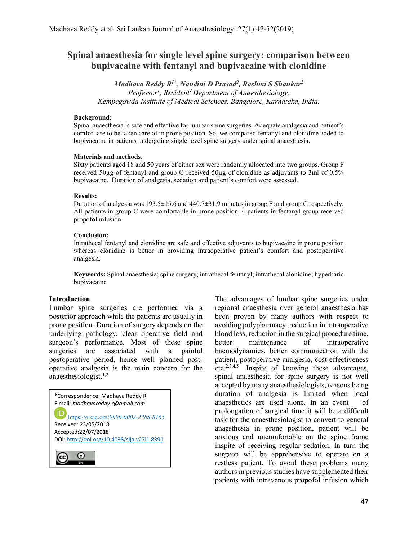# Spinal anaesthesia for single level spine surgery: comparison between bupivacaine with fentanyl and bupivacaine with clonidine

Madhava Reddy R<sup>1\*</sup>, Nandini D Prasad<sup>2</sup>, Rashmi S Shankar<sup>2</sup> Professor<sup>1</sup>, Resident<sup>2</sup> Department of Anaesthesiology, Kempegowda Institute of Medical Sciences, Bangalore, Karnataka, India.

#### Background:

Spinal anaesthesia is safe and effective for lumbar spine surgeries. Adequate analgesia and patient's comfort are to be taken care of in prone position. So, we compared fentanyl and clonidine added to bupivacaine in patients undergoing single level spine surgery under spinal anaesthesia.

#### Materials and methods:

Sixty patients aged 18 and 50 years of either sex were randomly allocated into two groups. Group F received 50µg of fentanyl and group C received 50µg of clonidine as adjuvants to 3ml of 0.5% bupivacaine. Duration of analgesia, sedation and patient's comfort were assessed.

#### Results:

Duration of analgesia was  $193.5 \pm 15.6$  and  $440.7 \pm 31.9$  minutes in group F and group C respectively. All patients in group C were comfortable in prone position. 4 patients in fentanyl group received propofol infusion.

## Conclusion:

Intrathecal fentanyl and clonidine are safe and effective adjuvants to bupivacaine in prone position whereas clonidine is better in providing intraoperative patient's comfort and postoperative analgesia.

Keywords: Spinal anaesthesia; spine surgery; intrathecal fentanyl; intrathecal clonidine; hyperbaric bupivacaine

## Introduction

Lumbar spine surgeries are performed via a posterior approach while the patients are usually in prone position. Duration of surgery depends on the underlying pathology, clear operative field and surgeon's performance. Most of these spine surgeries are associated with a painful postoperative period, hence well planned postoperative analgesia is the main concern for the anaesthesiologist. $1,2$ 

\*Correspondence: Madhava Reddy R E mail: madhavareddy.r@gmail.com https://orcid.org/0000-0002-2288-8165 Received: 23/05/2018 Accepted:22/07/2018 DOI: http://doi.org/10.4038/slja.v27i1.8391

 $\begin{array}{c} \hline \end{array}$ 

(cc)

The advantages of lumbar spine surgeries under regional anaesthesia over general anaesthesia has been proven by many authors with respect to avoiding polypharmacy, reduction in intraoperative blood loss, reduction in the surgical procedure time, better maintenance of intraoperative haemodynamics, better communication with the patient, postoperative analgesia, cost effectiveness etc.2,3,4,5 Inspite of knowing these advantages, spinal anaesthesia for spine surgery is not well accepted by many anaesthesiologists, reasons being duration of analgesia is limited when local anaesthetics are used alone. In an event of prolongation of surgical time it will be a difficult task for the anaesthesiologist to convert to general anaesthesia in prone position, patient will be anxious and uncomfortable on the spine frame inspite of receiving regular sedation. In turn the surgeon will be apprehensive to operate on a restless patient. To avoid these problems many authors in previous studies have supplemented their patients with intravenous propofol infusion which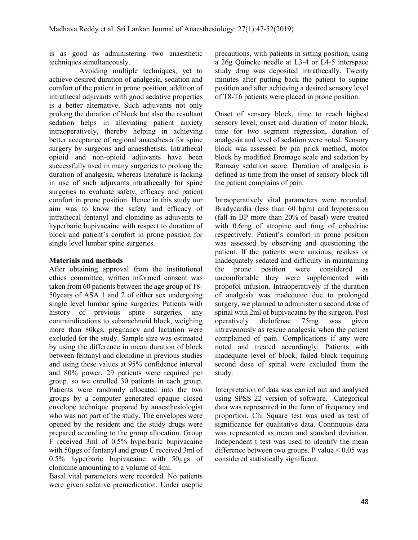is as good as administering two anaesthetic techniques simultaneously.

 Avoiding multiple techniques, yet to achieve desired duration of analgesia, sedation and comfort of the patient in prone position, addition of intrathecal adjuvants with good sedative properties is a better alternative. Such adjuvants not only prolong the duration of block but also the resultant sedation helps in alleviating patient anxiety intraoperatively, thereby helping in achieving better acceptance of regional anaesthesia for spine surgery by surgeons and anaesthetists. Intrathecal opioid and non-opioid adjuvants have been successfully used in many surgeries to prolong the duration of analgesia, whereas literature is lacking in use of such adjuvants intrathecally for spine surgeries to evaluate safety, efficacy and patient comfort in prone position. Hence in this study our aim was to know the safety and efficacy of intrathecal fentanyl and clonidine as adjuvants to hyperbaric bupivacaine with respect to duration of block and patient's comfort in prone position for single level lumbar spine surgeries.

## Materials and methods

After obtaining approval from the institutional ethics committee, written informed consent was taken from 60 patients between the age group of 18- 50years of ASA 1 and 2 of either sex undergoing single level lumbar spine surgeries. Patients with history of previous spine surgeries, any contraindications to subarachnoid block, weighing more than 80kgs, pregnancy and lactation were excluded for the study. Sample size was estimated by using the difference in mean duration of block between fentanyl and clonidine in previous studies and using these values at 95% confidence interval and 80% power. 29 patients were required per group, so we enrolled 30 patients in each group. Patients were randomly allocated into the two groups by a computer generated opaque closed envelope technique prepared by anaesthesiologist who was not part of the study. The envelopes were opened by the resident and the study drugs were prepared according to the group allocation. Group F received 3ml of 0.5% hyperbaric bupivacaine with 50µgs of fentanyl and group C received 3ml of 0.5% hyperbaric bupivacaine with 50µgs of clonidine amounting to a volume of 4ml.

Basal vital parameters were recorded. No patients were given sedative premedication. Under aseptic

precautions, with patients in sitting position, using a 26g Quincke needle at L3-4 or L4-5 interspace study drug was deposited intrathecally. Twenty minutes after putting back the patient to supine position and after achieving a desired sensory level of T8-T6 patients were placed in prone position.

Onset of sensory block, time to reach highest sensory level, onset and duration of motor block, time for two segment regression, duration of analgesia and level of sedation were noted. Sensory block was assessed by pin prick method, motor block by modified Bromage scale and sedation by Ramsay sedation score. Duration of analgesia is defined as time from the onset of sensory block till the patient complains of pain.

Intraoperatively vital parameters were recorded. Bradycardia (less than 60 bpm) and hypotension (fall in BP more than 20% of basal) were treated with 0.6mg of atropine and 6mg of ephedrine respectively. Patient's comfort in prone position was assessed by observing and questioning the patient. If the patients were anxious, restless or inadequately sedated and difficulty in maintaining the prone position were considered as uncomfortable they were supplemented with propofol infusion. Intraoperatively if the duration of analgesia was inadequate due to prolonged surgery, we planned to administer a second dose of spinal with 2ml of bupivacaine by the surgeon. Post operatively diclofenac 75mg was given intravenously as rescue analgesia when the patient complained of pain. Complications if any were noted and treated accordingly. Patients with inadequate level of block, failed block requiring second dose of spinal were excluded from the study.

Interpretation of data was carried out and analysed using SPSS 22 version of software. Categorical data was represented in the form of frequency and proportion. Chi Square test was used as test of significance for qualitative data. Continuous data was represented as mean and standard deviation. Independent t test was used to identify the mean difference between two groups. P value < 0.05 was considered statistically significant.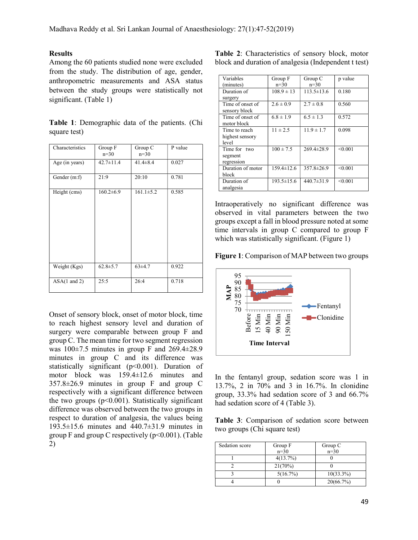#### Results

Among the 60 patients studied none were excluded from the study. The distribution of age, gender, anthropometric measurements and ASA status between the study groups were statistically not significant. (Table 1)

|              | Table 1: Demographic data of the patients. (Chi |  |  |
|--------------|-------------------------------------------------|--|--|
| square test) |                                                 |  |  |

| Characteristics         | Group F<br>$n=30$ | Group C<br>$n=30$ | P value |
|-------------------------|-------------------|-------------------|---------|
| Age (in years)          | $42.7 \pm 11.4$   | $41.4 \pm 8.4$    | 0.027   |
| Gender (m:f)            | 21:9              | 20:10             | 0.781   |
| Height (cms)            | $160.2 \pm 6.9$   | $161.1 \pm 5.2$   | 0.585   |
| Weight (Kgs)            | $62.8 \pm 5.7$    | $63\pm4.7$        | 0.922   |
| $ASA(1 \text{ and } 2)$ | 25:5              | 26:4              | 0.718   |

Onset of sensory block, onset of motor block, time to reach highest sensory level and duration of surgery were comparable between group F and group C. The mean time for two segment regression was 100±7.5 minutes in group F and 269.4±28.9 minutes in group C and its difference was statistically significant (p<0.001). Duration of motor block was 159.4±12.6 minutes and 357.8±26.9 minutes in group F and group C respectively with a significant difference between the two groups  $(p<0.001)$ . Statistically significant difference was observed between the two groups in respect to duration of analgesia, the values being 193.5±15.6 minutes and 440.7±31.9 minutes in group F and group C respectively  $(p<0.001)$ . (Table 2)

Table 2: Characteristics of sensory block, motor block and duration of analgesia (Independent t test)

| Variables<br>(minutes)                    | Group F<br>$n=30$ | Group C<br>$n=30$ | p value |
|-------------------------------------------|-------------------|-------------------|---------|
| Duration of<br>surgery                    | $108.9 \pm 13$    | $113.5 \pm 13.6$  | 0.180   |
| Time of onset of<br>sensory block         | $2.6 \pm 0.9$     | $2.7 \pm 0.8$     | 0.560   |
| Time of onset of<br>motor block           | $6.8 \pm 1.9$     | $6.5 \pm 1.3$     | 0.572   |
| Time to reach<br>highest sensory<br>level | $11 \pm 2.5$      | $11.9 \pm 1.7$    | 0.098   |
| Time for two<br>segment<br>regression     | $100 \pm 7.5$     | $269.4 \pm 28.9$  | < 0.001 |
| Duration of motor<br>block                | $159.4 \pm 12.6$  | $357.8 \pm 26.9$  | < 0.001 |
| Duration of<br>analgesia                  | $193.5 \pm 15.6$  | $440.7 \pm 31.9$  | < 0.001 |

Intraoperatively no significant difference was observed in vital parameters between the two groups except a fall in blood pressure noted at some time intervals in group C compared to group F which was statistically significant. (Figure 1)

Figure 1: Comparison of MAP between two groups



In the fentanyl group, sedation score was 1 in 13.7%, 2 in 70% and 3 in 16.7%. In clonidine group, 33.3% had sedation score of 3 and 66.7% had sedation score of 4 (Table 3).

Table 3: Comparison of sedation score between two groups (Chi square test)

| Sedation score | Group F  | Group C      |
|----------------|----------|--------------|
|                | $n=30$   | $n=30$       |
|                | 4(13.7%) |              |
|                | 21(70%)  |              |
|                | 5(16.7%) | $10(33.3\%)$ |
|                |          | 20(66.7%)    |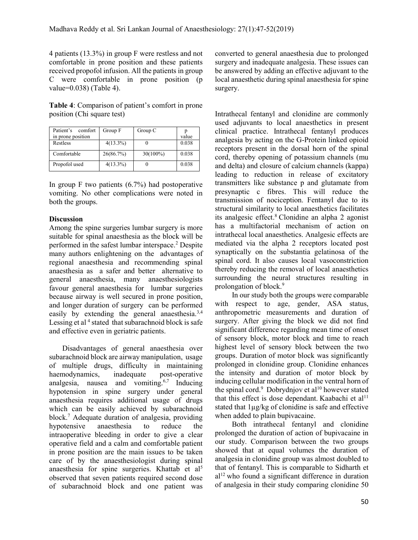4 patients (13.3%) in group F were restless and not comfortable in prone position and these patients received propofol infusion. All the patients in group C were comfortable in prone position (p value=0.038) (Table 4).

Table 4: Comparison of patient's comfort in prone position (Chi square test)

| Patient's<br>comfort<br>in prone position | Group F     | Group C     | value |
|-------------------------------------------|-------------|-------------|-------|
| Restless                                  | $4(13.3\%)$ |             | 0.038 |
| Comfortable                               | 26(86.7%)   | $30(100\%)$ | 0.038 |
| Propofol used                             | $4(13.3\%)$ |             | 0.038 |

In group F two patients  $(6.7%)$  had postoperative vomiting. No other complications were noted in both the groups.

# **Discussion**

Among the spine surgeries lumbar surgery is more suitable for spinal anaesthesia as the block will be performed in the safest lumbar interspace.<sup>2</sup> Despite many authors enlightening on the advantages of regional anaesthesia and recommending spinal anaesthesia as a safer and better alternative to general anaesthesia, many anaesthesiologists favour general anaesthesia for lumbar surgeries because airway is well secured in prone position, and longer duration of surgery can be performed easily by extending the general anaesthesia.<sup>3,4</sup> Lessing et al<sup>4</sup> stated that subarachnoid block is safe and effective even in geriatric patients.

 Disadvantages of general anaesthesia over subarachnoid block are airway manipulation, usage of multiple drugs, difficulty in maintaining haemodynamics, inadequate post-operative analgesia, nausea and vomiting.6,7 Inducing hypotension in spine surgery under general anaesthesia requires additional usage of drugs which can be easily achieved by subarachnoid block.<sup>7</sup> Adequate duration of analgesia, providing hypotensive anaesthesia to reduce the intraoperative bleeding in order to give a clear operative field and a calm and comfortable patient in prone position are the main issues to be taken care of by the anaesthesiologist during spinal anaesthesia for spine surgeries. Khattab et al<sup>5</sup> observed that seven patients required second dose of subarachnoid block and one patient was

converted to general anaesthesia due to prolonged surgery and inadequate analgesia. These issues can be answered by adding an effective adjuvant to the local anaesthetic during spinal anaesthesia for spine surgery.

Intrathecal fentanyl and clonidine are commonly used adjuvants to local anaesthetics in present clinical practice. Intrathecal fentanyl produces analgesia by acting on the G-Protein linked opioid receptors present in the dorsal horn of the spinal cord, thereby opening of potassium channels (mu and delta) and closure of calcium channels (kappa) leading to reduction in release of excitatory transmitters like substance p and glutamate from presynaptic c fibres. This will reduce the transmission of nociception. Fentanyl due to its structural similarity to local anaesthetics facilitates its analgesic effect.<sup>8</sup>Clonidine an alpha 2 agonist has a multifactorial mechanism of action on intrathecal local anaesthetics. Analgesic effects are mediated via the alpha 2 receptors located post synaptically on the substantia gelatinosa of the spinal cord. It also causes local vasoconstriction thereby reducing the removal of local anaesthetics surrounding the neural structures resulting in prolongation of block.<sup>9</sup>

 In our study both the groups were comparable with respect to age, gender, ASA status, anthropometric measurements and duration of surgery. After giving the block we did not find significant difference regarding mean time of onset of sensory block, motor block and time to reach highest level of sensory block between the two groups. Duration of motor block was significantly prolonged in clonidine group. Clonidine enhances the intensity and duration of motor block by inducing cellular modification in the ventral horn of the spinal cord. $9$  Dobrydnjov et al<sup>10</sup> however stated that this effect is dose dependant. Kaabachi et al<sup>11</sup> stated that 1µg/kg of clonidine is safe and effective when added to plain bupivacaine.

 Both intrathecal fentanyl and clonidine prolonged the duration of action of bupivacaine in our study. Comparison between the two groups showed that at equal volumes the duration of analgesia in clonidine group was almost doubled to that of fentanyl. This is comparable to Sidharth et  $al<sup>12</sup>$  who found a significant difference in duration of analgesia in their study comparing clonidine 50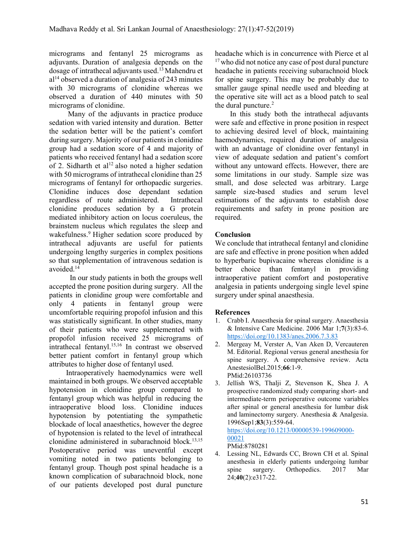micrograms and fentanyl 25 micrograms as adjuvants. Duration of analgesia depends on the dosage of intrathecal adjuvants used.<sup>13</sup>Mahendru et  $al<sup>14</sup>$  observed a duration of analgesia of 243 minutes with 30 micrograms of clonidine whereas we observed a duration of 440 minutes with 50 micrograms of clonidine.

 Many of the adjuvants in practice produce sedation with varied intensity and duration. Better the sedation better will be the patient's comfort during surgery. Majority of our patients in clonidine group had a sedation score of 4 and majority of patients who received fentanyl had a sedation score of 2. Sidharth et al<sup>12</sup> also noted a higher sedation with 50 micrograms of intrathecal clonidine than 25 micrograms of fentanyl for orthopaedic surgeries. Clonidine induces dose dependant sedation regardless of route administered. Intrathecal clonidine produces sedation by a G protein mediated inhibitory action on locus coeruleus, the brainstem nucleus which regulates the sleep and wakefulness.<sup>9</sup> Higher sedation score produced by intrathecal adjuvants are useful for patients undergoing lengthy surgeries in complex positions so that supplementation of intravenous sedation is avoided.<sup>14</sup>

 In our study patients in both the groups well accepted the prone position during surgery. All the patients in clonidine group were comfortable and only 4 patients in fentanyl group were uncomfortable requiring propofol infusion and this was statistically significant. In other studies, many of their patients who were supplemented with propofol infusion received 25 micrograms of intrathecal fentanyl.15,16 In contrast we observed better patient comfort in fentanyl group which attributes to higher dose of fentanyl used.

 Intraoperatively haemodynamics were well maintained in both groups. We observed acceptable hypotension in clonidine group compared to fentanyl group which was helpful in reducing the intraoperative blood loss. Clonidine induces hypotension by potentiating the sympathetic blockade of local anaesthetics, however the degree of hypotension is related to the level of intrathecal clonidine administered in subarachnoid block.<sup>13,15</sup> Postoperative period was uneventful except vomiting noted in two patients belonging to fentanyl group. Though post spinal headache is a known complication of subarachnoid block, none of our patients developed post dural puncture

headache which is in concurrence with Pierce et al  $17$  who did not notice any case of post dural puncture headache in patients receiving subarachnoid block for spine surgery. This may be probably due to smaller gauge spinal needle used and bleeding at the operative site will act as a blood patch to seal the dural puncture.<sup>2</sup>

 In this study both the intrathecal adjuvants were safe and effective in prone position in respect to achieving desired level of block, maintaining haemodynamics, required duration of analgesia with an advantage of clonidine over fentanyl in view of adequate sedation and patient's comfort without any untoward effects. However, there are some limitations in our study. Sample size was small, and dose selected was arbitrary. Large sample size-based studies and serum level estimations of the adjuvants to establish dose requirements and safety in prone position are required.

# Conclusion

We conclude that intrathecal fentanyl and clonidine are safe and effective in prone position when added to hyperbaric bupivacaine whereas clonidine is a better choice than fentanyl in providing intraoperative patient comfort and postoperative analgesia in patients undergoing single level spine surgery under spinal anaesthesia.

# References

- 1. Crabb I. Anaesthesia for spinal surgery. Anaesthesia & Intensive Care Medicine. 2006 Mar 1;7(3):83-6. https://doi.org/10.1383/anes.2006.7.3.83
- 2. Mergeay M, Verster A, Van Aken D, Vercauteren M. Editorial. Regional versus general anesthesia for spine surgery. A comprehensive review. Acta AnestesiolBel.2015;66:1-9. PMid:26103736
- 3. Jellish WS, Thalji Z, Stevenson K, Shea J. A prospective randomized study comparing short- and intermediate-term perioperative outcome variables after spinal or general anesthesia for lumbar disk and laminectomy surgery. Anesthesia & Analgesia. 1996Sep1;83(3):559-64. https://doi.org/10.1213/00000539-199609000-

00021 PMid:8780281

4. Lessing NL, Edwards CC, Brown CH et al. Spinal anesthesia in elderly patients undergoing lumbar spine surgery. Orthopedics. 2017 Mar 24;40(2):e317-22.